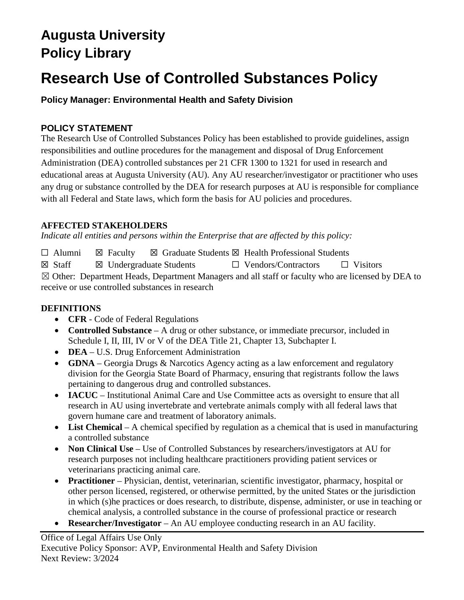# **Augusta University Policy Library**

# **Research Use of Controlled Substances Policy**

## **Policy Manager: Environmental Health and Safety Division**

### **POLICY STATEMENT**

The Research Use of Controlled Substances Policy has been established to provide guidelines, assign responsibilities and outline procedures for the management and disposal of Drug Enforcement Administration (DEA) controlled substances per 21 CFR 1300 to 1321 for used in research and educational areas at Augusta University (AU). Any AU researcher/investigator or practitioner who uses any drug or substance controlled by the DEA for research purposes at AU is responsible for compliance with all Federal and State laws, which form the basis for AU policies and procedures.

### **AFFECTED STAKEHOLDERS**

*Indicate all entities and persons within the Enterprise that are affected by this policy:* 

☐ Alumni ☒ Faculty ☒ Graduate Students ☒ Health Professional Students ☒ Staff ☒ Undergraduate Students ☐ Vendors/Contractors ☐ Visitors ☒ Other: Department Heads, Department Managers and all staff or faculty who are licensed by DEA to receive or use controlled substances in research

### **DEFINITIONS**

- **CFR** Code of Federal Regulations
- **Controlled Substance** A drug or other substance, or immediate precursor, included in Schedule I, II, III, IV or V of the DEA Title 21, Chapter 13, Subchapter I.
- **DEA** U.S. Drug Enforcement Administration
- **GDNA** Georgia Drugs & Narcotics Agency acting as a law enforcement and regulatory division for the Georgia State Board of Pharmacy, ensuring that registrants follow the laws pertaining to dangerous drug and controlled substances.
- **IACUC** Institutional Animal Care and Use Committee acts as oversight to ensure that all research in AU using invertebrate and vertebrate animals comply with all federal laws that govern humane care and treatment of laboratory animals.
- List Chemical A chemical specified by regulation as a chemical that is used in manufacturing a controlled substance
- **Non Clinical Use** Use of Controlled Substances by researchers/investigators at AU for research purposes not including healthcare practitioners providing patient services or veterinarians practicing animal care.
- **Practitioner** Physician, dentist, veterinarian, scientific investigator, pharmacy, hospital or other person licensed, registered, or otherwise permitted, by the united States or the jurisdiction in which (s)he practices or does research, to distribute, dispense, administer, or use in teaching or chemical analysis, a controlled substance in the course of professional practice or research
- **Researcher/Investigator** An AU employee conducting research in an AU facility.

Office of Legal Affairs Use Only Executive Policy Sponsor: AVP, Environmental Health and Safety Division Next Review: 3/2024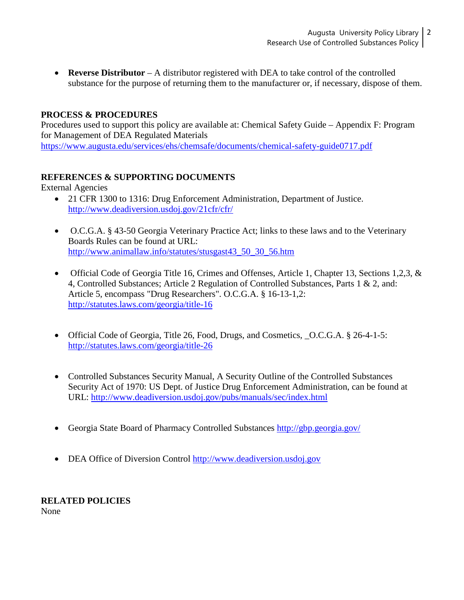• **Reverse Distributor** – A distributor registered with DEA to take control of the controlled substance for the purpose of returning them to the manufacturer or, if necessary, dispose of them.

#### **PROCESS & PROCEDURES**

Procedures used to support this policy are available at: Chemical Safety Guide – Appendix F: Program for Management of DEA Regulated Materials <https://www.augusta.edu/services/ehs/chemsafe/documents/chemical-safety-guide0717.pdf>

#### **REFERENCES & SUPPORTING DOCUMENTS**

External Agencies

- 21 CFR 1300 to 1316: Drug Enforcement Administration, Department of Justice. <http://www.deadiversion.usdoj.gov/21cfr/cfr/>
- O.C.G.A. § 43-50 Georgia Veterinary Practice Act; links to these laws and to the Veterinary Boards Rules can be found at URL: [http://www.animallaw.info/statutes/stusgast43\\_50\\_30\\_56.htm](http://www.animallaw.info/statutes/stusgast43_50_30_56.htm)
- Official Code of Georgia Title 16, Crimes and Offenses, Article 1, Chapter 13, Sections 1,2,3, & 4, Controlled Substances; Article 2 Regulation of Controlled Substances, Parts 1 & 2, and: Article 5, encompass "Drug Researchers". O.C.G.A. § 16-13-1,2: <http://statutes.laws.com/georgia/title-16>
- Official Code of Georgia, Title 26, Food, Drugs, and Cosmetics, O.C.G.A. § 26-4-1-5: <http://statutes.laws.com/georgia/title-26>
- Controlled Substances Security Manual, A Security Outline of the Controlled Substances Security Act of 1970: US Dept. of Justice Drug Enforcement Administration, can be found at URL:<http://www.deadiversion.usdoj.gov/pubs/manuals/sec/index.html>
- Georgia State Board of Pharmacy Controlled Substances<http://gbp.georgia.gov/>
- DEA Office of Diversion Control [http://www.deadiversion.usdoj.gov](http://www.deadiversion.usdoj.gov/)

#### **RELATED POLICIES** None